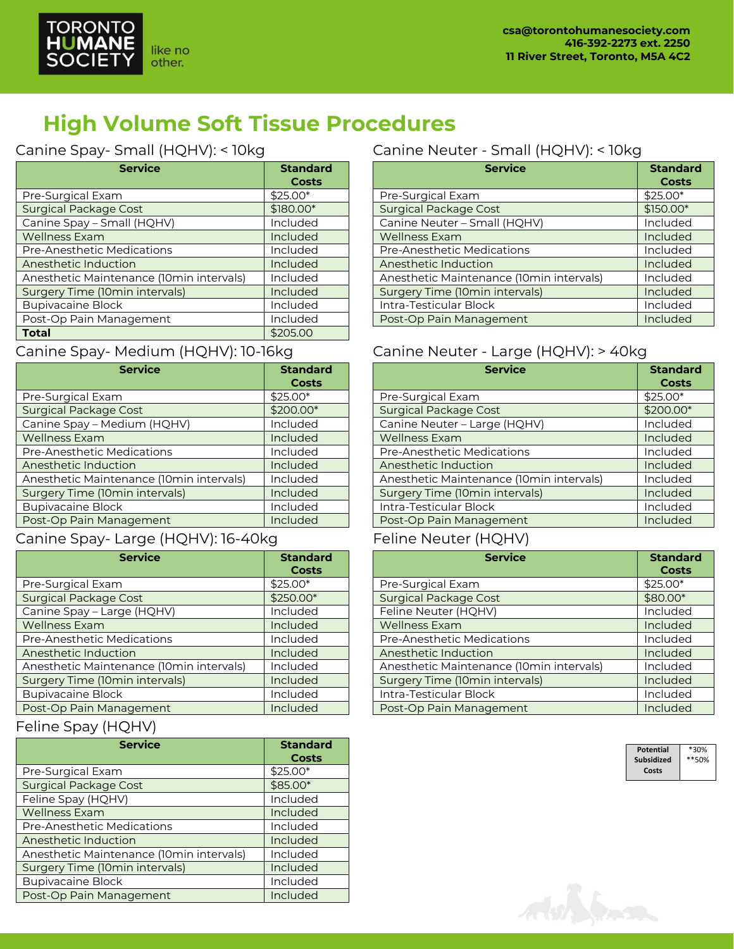

## **High Volume Soft Tissue Procedures**

### Canine Spay- Small (HQHV): < 10kg

| <b>Service</b>                           | <b>Standard</b><br>Costs |
|------------------------------------------|--------------------------|
| Pre-Surgical Exam                        | \$25.00*                 |
| <b>Surgical Package Cost</b>             | \$180.00*                |
| Canine Spay - Small (HQHV)               | Included                 |
| <b>Wellness Exam</b>                     | Included                 |
| Pre-Anesthetic Medications               | Included                 |
| Anesthetic Induction                     | Included                 |
| Anesthetic Maintenance (10min intervals) | Included                 |
| Surgery Time (10min intervals)           | Included                 |
| <b>Bupivacaine Block</b>                 | Included                 |
| Post-Op Pain Management                  | Included                 |
| <b>Total</b>                             | \$205.00                 |

### Canine Spay- Medium (HQHV): 10-16kg

| <b>Service</b>                           | <b>Standard</b><br><b>Costs</b> |
|------------------------------------------|---------------------------------|
| Pre-Surgical Exam                        | \$25.00*                        |
| <b>Surgical Package Cost</b>             | \$200.00*                       |
| Canine Spay - Medium (HQHV)              | Included                        |
| <b>Wellness Exam</b>                     | Included                        |
| <b>Pre-Anesthetic Medications</b>        | Included                        |
| Anesthetic Induction                     | Included                        |
| Anesthetic Maintenance (10min intervals) | Included                        |
| Surgery Time (10min intervals)           | Included                        |
| <b>Bupivacaine Block</b>                 | Included                        |
| Post-Op Pain Management                  | Included                        |

### Canine Spay- Large (HQHV): 16-40kg

| <b>Service</b>                           | <b>Standard</b><br><b>Costs</b> |
|------------------------------------------|---------------------------------|
| Pre-Surgical Exam                        | \$25.00*                        |
| <b>Surgical Package Cost</b>             | \$250.00*                       |
| Canine Spay - Large (HQHV)               | Included                        |
| <b>Wellness Exam</b>                     | Included                        |
| <b>Pre-Anesthetic Medications</b>        | Included                        |
| Anesthetic Induction                     | Included                        |
| Anesthetic Maintenance (10min intervals) | Included                        |
| Surgery Time (10min intervals)           | Included                        |
| <b>Bupivacaine Block</b>                 | Included                        |
| Post-Op Pain Management                  | Included                        |

### Feline Spay (HQHV)

| <b>Service</b>                           | <b>Standard</b><br><b>Costs</b> |
|------------------------------------------|---------------------------------|
| Pre-Surgical Exam                        | $$25.00*$                       |
| <b>Surgical Package Cost</b>             | \$85.00*                        |
| Feline Spay (HQHV)                       | Included                        |
| <b>Wellness Exam</b>                     | Included                        |
| <b>Pre-Anesthetic Medications</b>        | Included                        |
| Anesthetic Induction                     | Included                        |
| Anesthetic Maintenance (10min intervals) | Included                        |
| Surgery Time (10min intervals)           | Included                        |
| <b>Bupivacaine Block</b>                 | Included                        |
| Post-Op Pain Management                  | Included                        |

### Canine Neuter - Small (HQHV): < 10kg

| <b>Service</b>                           | <b>Standard</b><br><b>Costs</b> |
|------------------------------------------|---------------------------------|
| Pre-Surgical Exam                        | \$25.00*                        |
| <b>Surgical Package Cost</b>             | \$150.00*                       |
| Canine Neuter - Small (HQHV)             | Included                        |
| <b>Wellness Exam</b>                     | Included                        |
| <b>Pre-Anesthetic Medications</b>        | Included                        |
| Anesthetic Induction                     | Included                        |
| Anesthetic Maintenance (10min intervals) | Included                        |
| <b>Surgery Time (10min intervals)</b>    | Included                        |
| Intra-Testicular Block                   | Included                        |
| Post-Op Pain Management                  | Included                        |

#### Canine Neuter - Large (HQHV): > 40kg

| <b>Service</b>                           | <b>Standard</b><br><b>Costs</b> |
|------------------------------------------|---------------------------------|
| Pre-Surgical Exam                        | $$25.00*$                       |
| <b>Surgical Package Cost</b>             | \$200.00*                       |
| Canine Neuter - Large (HQHV)             | Included                        |
| <b>Wellness Exam</b>                     | Included                        |
| <b>Pre-Anesthetic Medications</b>        | Included                        |
| Anesthetic Induction                     | Included                        |
| Anesthetic Maintenance (10min intervals) | Included                        |
| Surgery Time (10min intervals)           | Included                        |
| Intra-Testicular Block                   | Included                        |
| Post-Op Pain Management                  | Included                        |

#### Feline Neuter (HQHV)

| <b>Service</b>                           | <b>Standard</b><br><b>Costs</b> |
|------------------------------------------|---------------------------------|
| Pre-Surgical Exam                        | \$25.00*                        |
| <b>Surgical Package Cost</b>             | \$80.00*                        |
| Feline Neuter (HQHV)                     | Included                        |
| <b>Wellness Exam</b>                     | Included                        |
| <b>Pre-Anesthetic Medications</b>        | Included                        |
| Anesthetic Induction                     | Included                        |
| Anesthetic Maintenance (10min intervals) | Included                        |
| Surgery Time (10min intervals)           | Included                        |
| Intra-Testicular Block                   | Included                        |
| Post-Op Pain Management                  | Included                        |

| Potential  | *30%  |
|------------|-------|
| Subsidized | **50% |
| Costs      |       |

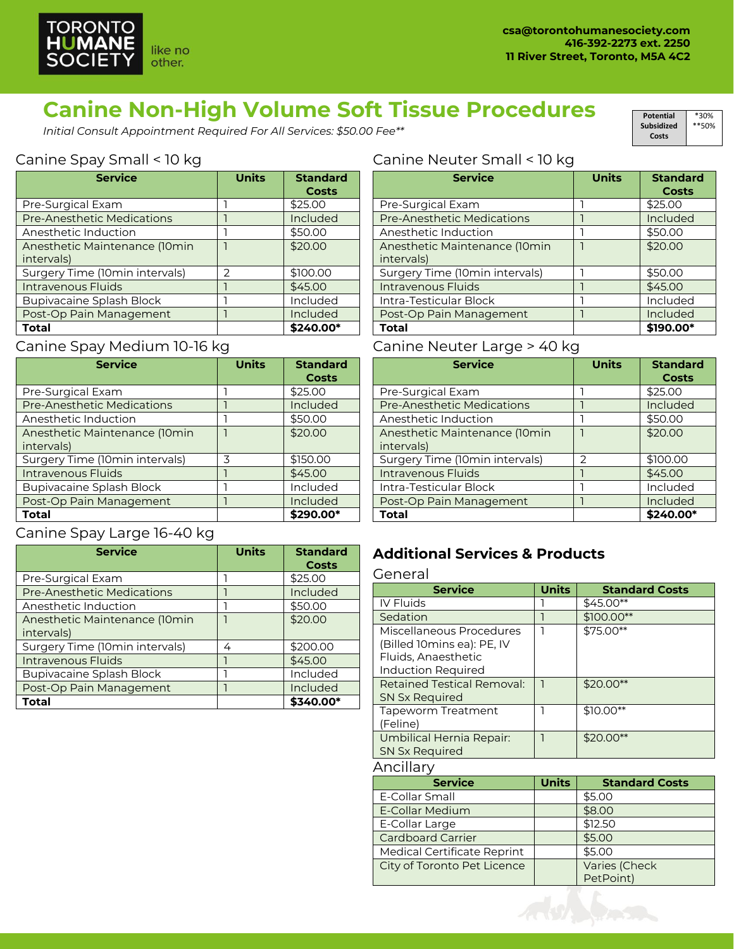

## **Canine Non-High Volume Soft Tissue Procedures**

*Initial Consult Appointment Required For All Services: \$50.00 Fee\*\**

#### Canine Spay Small < 10 kg

| <b>Service</b>                    | <b>Units</b>  | <b>Standard</b><br><b>Costs</b> |
|-----------------------------------|---------------|---------------------------------|
| Pre-Surgical Exam                 |               | \$25.00                         |
| <b>Pre-Anesthetic Medications</b> |               | Included                        |
| Anesthetic Induction              |               | \$50.00                         |
| Anesthetic Maintenance (10min     |               | \$20.00                         |
| intervals)                        |               |                                 |
| Surgery Time (10min intervals)    | $\mathcal{P}$ | \$100.00                        |
| Intravenous Fluids                |               | \$45.00                         |
| <b>Bupivacaine Splash Block</b>   |               | Included                        |
| Post-Op Pain Management           |               | Included                        |
| <b>Total</b>                      |               | \$240.00*                       |

## Canine Spay Medium 10-16 kg

| <b>Service</b>                    | <b>Units</b> | <b>Standard</b><br><b>Costs</b> |
|-----------------------------------|--------------|---------------------------------|
| Pre-Surgical Exam                 |              | \$25.00                         |
| <b>Pre-Anesthetic Medications</b> |              | Included                        |
| Anesthetic Induction              |              | \$50.00                         |
| Anesthetic Maintenance (10min     |              | \$20.00                         |
| intervals)                        |              |                                 |
| Surgery Time (10min intervals)    | 3            | \$150.00                        |
| <b>Intravenous Fluids</b>         |              | \$45.00                         |
| <b>Bupivacaine Splash Block</b>   |              | Included                        |
| Post-Op Pain Management           |              | Included                        |
| Total                             |              | \$290.00*                       |

#### Canine Spay Large 16-40 kg

| <b>Service</b>                    | <b>Units</b> | <b>Standard</b><br><b>Costs</b> |
|-----------------------------------|--------------|---------------------------------|
| Pre-Surgical Exam                 |              | \$25.00                         |
| <b>Pre-Anesthetic Medications</b> |              | Included                        |
| Anesthetic Induction              |              | \$50.00                         |
| Anesthetic Maintenance (10min     |              | \$20.00                         |
| intervals)                        |              |                                 |
| Surgery Time (10min intervals)    | 4            | \$200.00                        |
| Intravenous Fluids                |              | \$45.00                         |
| <b>Bupivacaine Splash Block</b>   |              | Included                        |
| Post-Op Pain Management           |              | Included                        |
| Total                             |              | \$340.00*                       |

#### Canine Neuter Small < 10 kg

| <b>Service</b>                 | <b>Units</b> | <b>Standard</b><br><b>Costs</b> |
|--------------------------------|--------------|---------------------------------|
| Pre-Surgical Exam              |              | \$25.00                         |
| Pre-Anesthetic Medications     |              | Included                        |
| Anesthetic Induction           |              | \$50.00                         |
| Anesthetic Maintenance (10min  |              | \$20.00                         |
| intervals)                     |              |                                 |
| Surgery Time (10min intervals) |              | \$50.00                         |
| Intravenous Fluids             |              | \$45.00                         |
| Intra-Testicular Block         |              | Included                        |
| Post-Op Pain Management        |              | Included                        |
| Total                          |              | \$190.00*                       |

#### Canine Neuter Large > 40 kg

| <b>Service</b>                    | <b>Units</b> | <b>Standard</b> |
|-----------------------------------|--------------|-----------------|
|                                   |              | <b>Costs</b>    |
| Pre-Surgical Exam                 |              | \$25.00         |
| <b>Pre-Anesthetic Medications</b> |              | Included        |
| Anesthetic Induction              |              | \$50.00         |
| Anesthetic Maintenance (10min     |              | \$20.00         |
| intervals)                        |              |                 |
| Surgery Time (10min intervals)    | 2            | \$100.00        |
| Intravenous Fluids                |              | \$45.00         |
| Intra-Testicular Block            |              | Included        |
| Post-Op Pain Management           |              | Included        |
| <b>Total</b>                      |              | \$240.00*       |

### **Additional Services & Products**

#### General

| <b>Service</b>                                                                                             | Units | <b>Standard Costs</b> |
|------------------------------------------------------------------------------------------------------------|-------|-----------------------|
| <b>IV Fluids</b>                                                                                           |       | \$45.00**             |
| Sedation                                                                                                   |       | $$100.00**$           |
| Miscellaneous Procedures<br>(Billed 10mins ea): PE, IV<br>Fluids, Anaesthetic<br><b>Induction Required</b> |       | \$75.00**             |
| <b>Retained Testical Removal:</b><br>SN Sx Required                                                        |       | $$20.00**$            |
| <b>Tapeworm Treatment</b><br>(Feline)                                                                      |       | $$10.00**$            |
| Umbilical Hernia Repair:<br><b>SN Sx Required</b>                                                          |       | $$20.00**$            |
| Ancillary                                                                                                  |       |                       |
|                                                                                                            |       |                       |

| <b>Service</b>              | <b>Units</b> | <b>Standard Costs</b> |
|-----------------------------|--------------|-----------------------|
| E-Collar Small              |              | \$5.00                |
| E-Collar Medium             |              | \$8.00                |
| E-Collar Large              |              | \$12.50               |
| <b>Cardboard Carrier</b>    |              | \$5.00                |
| Medical Certificate Reprint |              | \$5.00                |
| City of Toronto Pet Licence |              | Varies (Check         |
|                             |              | PetPoint)             |



#### **Potential Subsidized Costs** \*30% \*\*50%